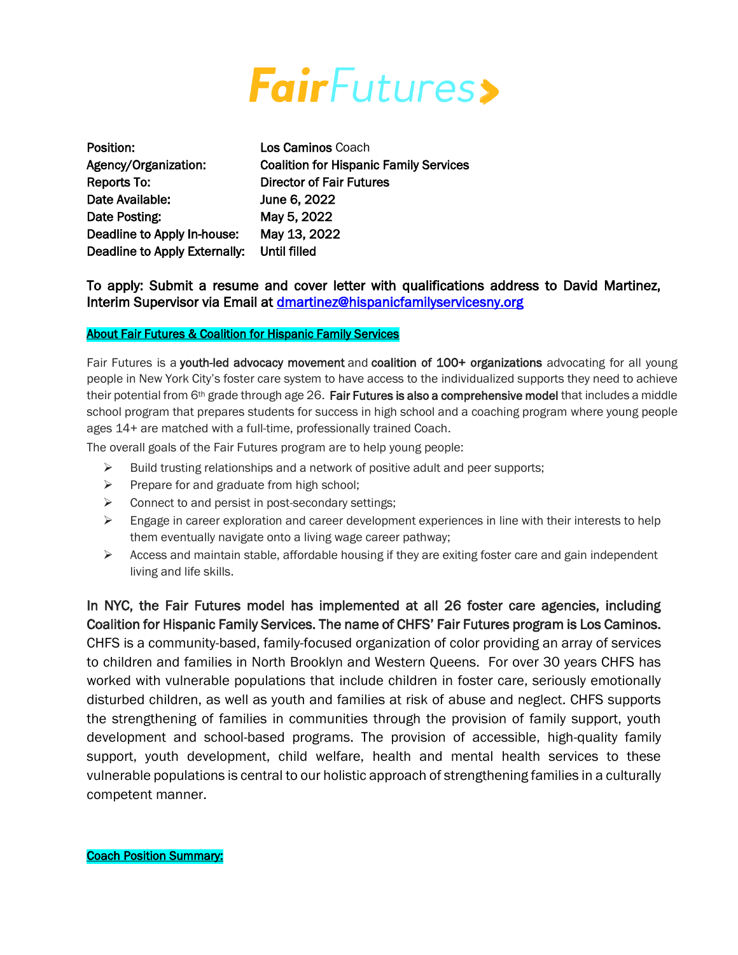

| Position:                     | <b>Los Caminos Coach</b>                      |
|-------------------------------|-----------------------------------------------|
| Agency/Organization:          | <b>Coalition for Hispanic Family Services</b> |
| Reports To:                   | <b>Director of Fair Futures</b>               |
| Date Available:               | June 6, 2022                                  |
| Date Posting:                 | May 5, 2022                                   |
| Deadline to Apply In-house:   | May 13, 2022                                  |
| Deadline to Apply Externally: | Until filled                                  |

To apply: Submit a resume and cover letter with qualifications address to David Martinez, Interim Supervisor via Email at **dmartinez@hispanicfamilyservicesny.org** 

# About Fair Futures & Coalition for Hispanic Family Services

Ī

Fair Futures is a youth-led advocacy movement and coalition of 100+ organizations advocating for all young people in New York City's foster care system to have access to the individualized supports they need to achieve their potential from 6th grade through age 26. Fair Futures is also a comprehensive model that includes a middle school program that prepares students for success in high school and a coaching program where young people ages 14+ are matched with a full-time, professionally trained Coach.

The overall goals of the Fair Futures program are to help young people:

- $\triangleright$  Build trusting relationships and a network of positive adult and peer supports;
- $\triangleright$  Prepare for and graduate from high school;
- $\triangleright$  Connect to and persist in post-secondary settings;
- $\triangleright$  Engage in career exploration and career development experiences in line with their interests to help them eventually navigate onto a living wage career pathway;
- $\triangleright$  Access and maintain stable, affordable housing if they are exiting foster care and gain independent living and life skills.

In NYC, the Fair Futures model has implemented at all 26 foster care agencies, including Coalition for Hispanic Family Services. The name of CHFS' Fair Futures program is Los Caminos. CHFS is a community-based, family-focused organization of color providing an array of services to children and families in North Brooklyn and Western Queens. For over 30 years CHFS has worked with vulnerable populations that include children in foster care, seriously emotionally disturbed children, as well as youth and families at risk of abuse and neglect. CHFS supports the strengthening of families in communities through the provision of family support, youth development and school-based programs. The provision of accessible, high-quality family support, youth development, child welfare, health and mental health services to these vulnerable populations is central to our holistic approach of strengthening families in a culturally competent manner.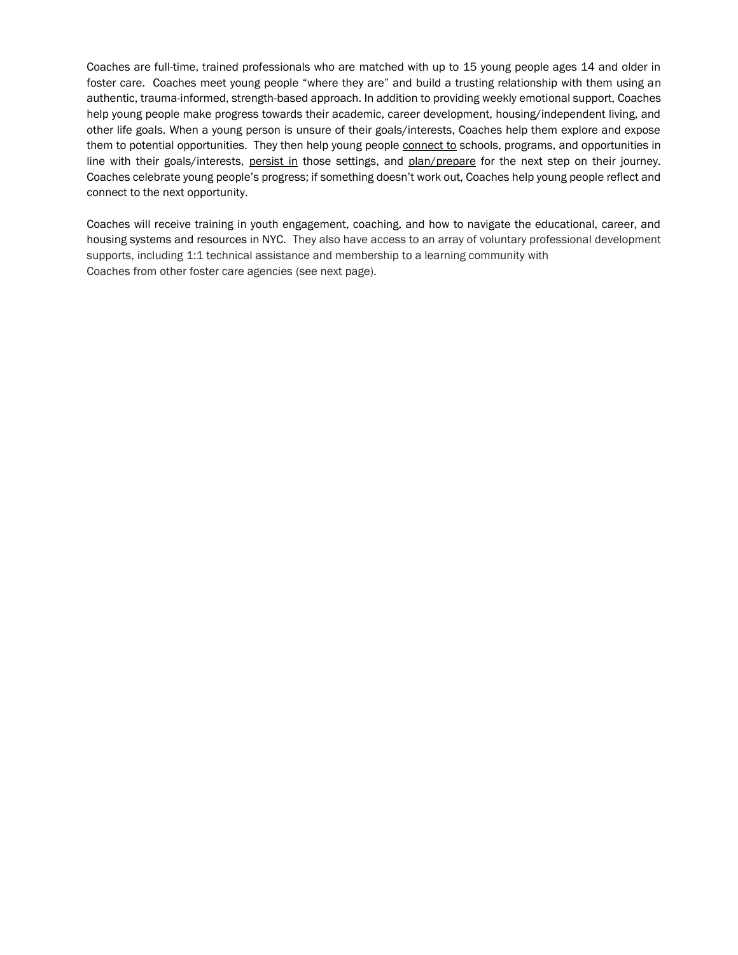Coaches are full-time, trained professionals who are matched with up to 15 young people ages 14 and older in foster care. Coaches meet young people "where they are" and build a trusting relationship with them using an authentic, trauma-informed, strength-based approach. In addition to providing weekly emotional support, Coaches help young people make progress towards their academic, career development, housing/independent living, and other life goals. When a young person is unsure of their goals/interests, Coaches help them explore and expose them to potential opportunities. They then help young people connect to schools, programs, and opportunities in line with their goals/interests, persist in those settings, and plan/prepare for the next step on their journey. Coaches celebrate young people's progress; if something doesn't work out, Coaches help young people reflect and connect to the next opportunity.

Coaches will receive training in youth engagement, coaching, and how to navigate the educational, career, and housing systems and resources in NYC. They also have access to an array of voluntary professional development supports, including 1:1 technical assistance and membership to a learning community with Coaches from other foster care agencies (see next page).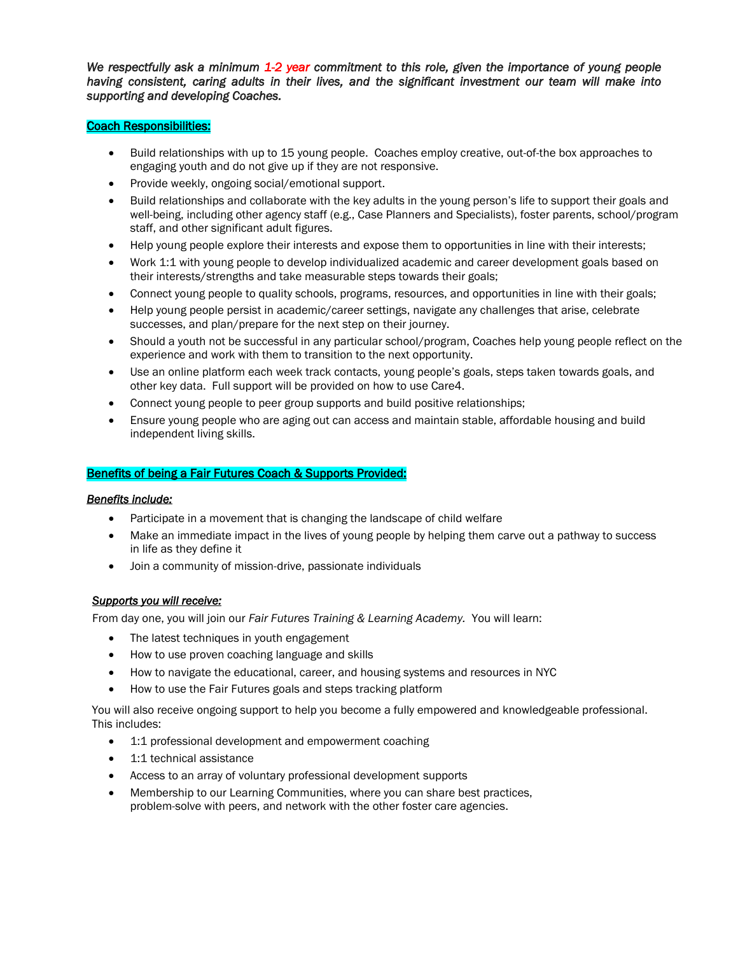*We respectfully ask a minimum 1-2 year commitment to this role, given the importance of young people having consistent, caring adults in their lives, and the significant investment our team will make into supporting and developing Coaches.* 

### Coach Responsibilities:

- Build relationships with up to 15 young people. Coaches employ creative, out-of-the box approaches to engaging youth and do not give up if they are not responsive.
- Provide weekly, ongoing social/emotional support.
- Build relationships and collaborate with the key adults in the young person's life to support their goals and well-being, including other agency staff (e.g., Case Planners and Specialists), foster parents, school/program staff, and other significant adult figures.
- Help young people explore their interests and expose them to opportunities in line with their interests;
- Work 1:1 with young people to develop individualized academic and career development goals based on their interests/strengths and take measurable steps towards their goals;
- Connect young people to quality schools, programs, resources, and opportunities in line with their goals;
- Help young people persist in academic/career settings, navigate any challenges that arise, celebrate successes, and plan/prepare for the next step on their journey.
- Should a youth not be successful in any particular school/program, Coaches help young people reflect on the experience and work with them to transition to the next opportunity.
- Use an online platform each week track contacts, young people's goals, steps taken towards goals, and other key data. Full support will be provided on how to use Care4.
- Connect young people to peer group supports and build positive relationships;
- Ensure young people who are aging out can access and maintain stable, affordable housing and build independent living skills.

### Benefits of being a Fair Futures Coach & Supports Provided:

### *Benefits include:*

- Participate in a movement that is changing the landscape of child welfare
- Make an immediate impact in the lives of young people by helping them carve out a pathway to success in life as they define it
- Join a community of mission-drive, passionate individuals

### *Supports you will receive:*

From day one, you will join our *Fair Futures Training & Learning Academy.* You will learn:

- The latest techniques in youth engagement
- How to use proven coaching language and skills
- How to navigate the educational, career, and housing systems and resources in NYC
- How to use the Fair Futures goals and steps tracking platform

You will also receive ongoing support to help you become a fully empowered and knowledgeable professional. This includes:

- 1:1 professional development and empowerment coaching
- 1:1 technical assistance
- Access to an array of voluntary professional development supports
- Membership to our Learning Communities, where you can share best practices, problem-solve with peers, and network with the other foster care agencies.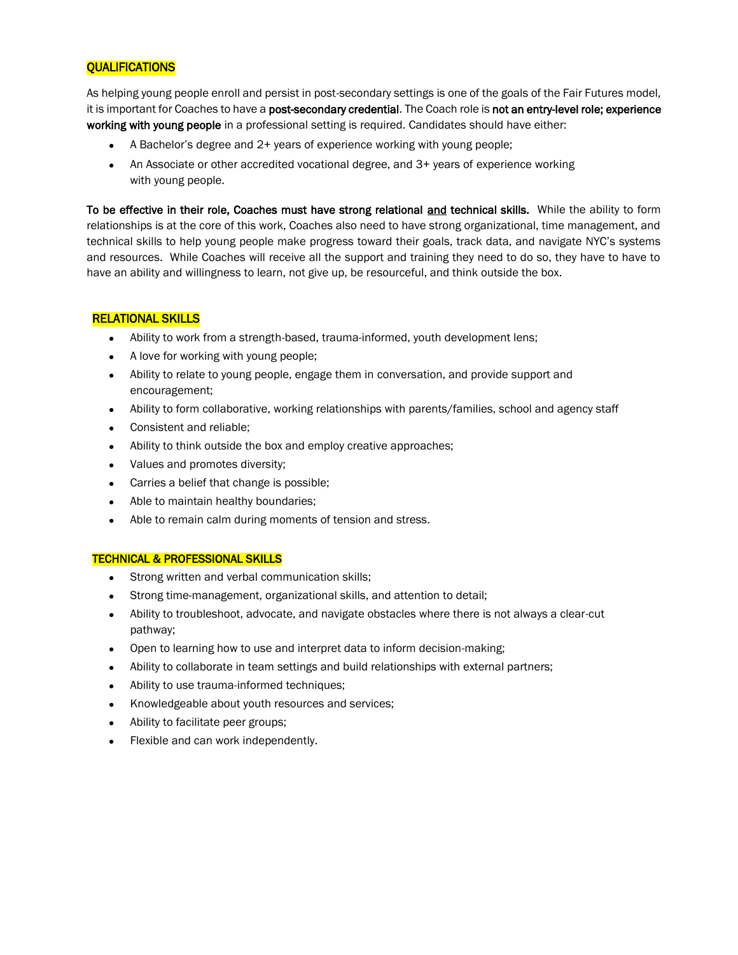# **QUALIFICATIONS**

As helping young people enroll and persist in post-secondary settings is one of the goals of the Fair Futures model, it is important for Coaches to have a post-secondary credential. The Coach role is not an entry-level role; experience working with young people in a professional setting is required. Candidates should have either:

- **•** A Bachelor's degree and 2+ years of experience working with young people;
- **•** An Associate or other accredited vocational degree, and 3+ years of experience working with young people.

To be effective in their role, Coaches must have strong relational and technical skills. While the ability to form relationships is at the core of this work, Coaches also need to have strong organizational, time management, and technical skills to help young people make progress toward their goals, track data, and navigate NYC's systems and resources. While Coaches will receive all the support and training they need to do so, they have to have to have an ability and willingness to learn, not give up, be resourceful, and think outside the box.

### RELATIONAL SKILLS

- **•** Ability to work from a strength-based, trauma-informed, youth development lens;
- **•** A love for working with young people;
- **•** Ability to relate to young people, engage them in conversation, and provide support and encouragement;
- **•** Ability to form collaborative, working relationships with parents/families, school and agency staff
- **•** Consistent and reliable;
- **•** Ability to think outside the box and employ creative approaches;
- **•** Values and promotes diversity;
- **•** Carries a belief that change is possible;
- **•** Able to maintain healthy boundaries;
- **•** Able to remain calm during moments of tension and stress.

### TECHNICAL & PROFESSIONAL SKILLS

- **•** Strong written and verbal communication skills;
- **•** Strong time-management, organizational skills, and attention to detail;
- **•** Ability to troubleshoot, advocate, and navigate obstacles where there is not always a clear-cut pathway;
- **•** Open to learning how to use and interpret data to inform decision-making;
- **•** Ability to collaborate in team settings and build relationships with external partners;
- **•** Ability to use trauma-informed techniques;
- **•** Knowledgeable about youth resources and services;
- **•** Ability to facilitate peer groups;
- **•** Flexible and can work independently.